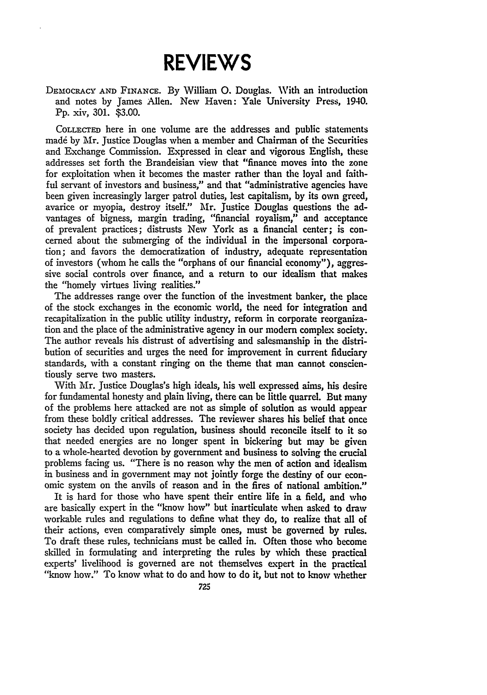DExmoCPACY **AND** FINANCE. **By** William **0.** Douglas. With an introduction and notes by James Allen. New Haven: Yale University Press, 1940. Pp. xiv, 301. \$3.00.

COLLECTED here in one volume are the addresses and public statements made by Mr. Justice Douglas when a member and Chairman of the Securities and Exchange Commission. Expressed in clear and vigorous English, these addresses set forth the Brandeisian view that "finance moves into the zone for exploitation when it becomes the master rather than the loyal and faithful servant of investors and business," and that "administrative agencies have been given increasingly larger patrol duties, lest capitalism, by its own greed, avarice or myopia, destroy itself." Mr. Justice Douglas questions the advantages of bigness, margin trading, "financial royalism," and acceptance of prevalent practices; distrusts New York as a financial center; is concerned about the submerging of the individual in the impersonal corporation; and favors the democratization of industry, adequate representation of investors (whom he calls the "orphans of our financial economy"), aggressive social controls over finance, and a return to our idealism that makes the "homely virtues living realities."

The addresses range over the function of the investment banker, the place of the stock exchanges in the economic world, the need for integration and recapitalization in the public utility industry, reform in corporate reorganization and the place of the administrative agency in our modem complex society. The author reveals his distrust of advertising and salesmanship in the distribution of securities and urges the need for improvement in current fiduciary standards, with a constant ringing on the theme that man cannot conscientiously serve two masters.

With Mr. Justice Douglas's high ideals, his well expressed aims, his desire for fundamental honesty and plain living, there can be little quarrel. But many of the problems here attacked are not as simple of solution as would appear from these boldly critical addresses. The reviewer shares his belief that once society has decided upon regulation, business should reconcile itself to it so that needed energies are no longer spent in bickering but may be given to a whole-hearted devotion by government and business to solving the crucial problems facing us. "There is no reason why the men of action and idealism in business and in government may not jointly forge the destiny of our economic system on the anvils of reason and in the fires of national ambition."

It is hard for those who have spent their entire life in a field, and who are basically expert in the *"know* how" but inarticulate when asked to draw workable rules and regulations to define what they do, to realize that all of their actions, even comparatively simple ones, must be governed by rules. To draft these rules, technicians must be called in. Often those who become skilled in formulating and interpreting the rules by which these practical experts' livelihood is governed are not themselves expert in the practical "know how." To know what to do and how to do it, but not to know whether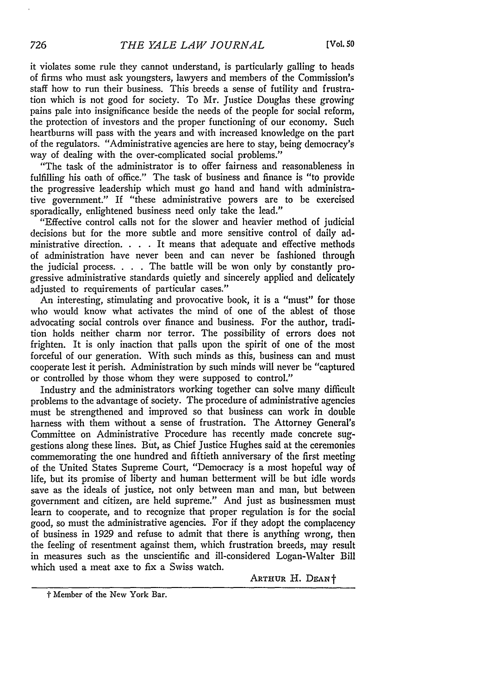it violates some rule they cannot understand, is particularly galling to heads of firms who must ask youngsters, lawyers and members of the Commission's staff how to run their business. This breeds a sense of futility and frustration which is not good for society. To Mr. Justice Douglas these growing pains pale into insignificance beside the needs of the people for social reform, the protection of investors and the proper functioning of our economy. Such heartburns will pass with the years and with increased knowledge on the part of the regulators. "Administrative agencies are here to stay, being democracy's way of dealing with the over-complicated social problems."

"The task of the administrator is to offer fairness and reasonableness in fulfilling his oath of office." The task of business and finance is "to provide the progressive leadership which must go hand and hand with administrative government." If "these administrative powers are to be exercised sporadically, enlightened business need only take the lead."

"Effective control calls not for the slower and heavier method of judicial decisions but for the more subtle and more sensitive control of daily administrative direction. . **.** . It means that adequate and effective methods of administration have never been and can never be fashioned through the judicial process. **. .** . The battle will be won only **by** constantly progressive administrative standards quietly and sincerely applied and delicately adjusted to requirements of particular cases."

An interesting, stimulating and provocative book, it is a "must" for those who would know what activates the mind of one of the ablest of those advocating social controls over finance and business. For the author, tradition holds neither charm nor terror. The possibility of errors does not frighten. It is only inaction that palls upon the spirit of one of the most forceful of our generation. With such minds as this, business can and must cooperate lest it perish. Administration **by** such minds will never be "captured or controlled **by** those whom they were supposed to control."

Industry and the administrators working together can solve many difficult problems to the advantage of society. The procedure of administrative agencies must be strengthened and improved so that business can work in double harness with them without a sense of frustration. The Attorney General's Committee on Administrative Procedure has recently made concrete suggestions along these lines. But, as Chief Justice Hughes said at the ceremonies commemorating the one hundred and fiftieth anniversary of the first meeting of the United States Supreme Court, "Democracy is a most hopeful way of life, but its promise of liberty and human betterment will be but idle words save as the ideals of justice, not only between man and man, but between government and citizen, are held supreme." And just as businessmen must learn to cooperate, and to recognize that proper regulation is for the social good, so must the administrative agencies. For if they adopt the complacency of business in 1929 and refuse to admit that there is anything wrong, then the feeling of resentment against them, which frustration breeds, may result in measures such as the unscientific and ill-considered Logan-Walter Bill which used a meat axe to fix a Swiss watch.

ARTHUR H. DEANt

t Member of the New York Bar.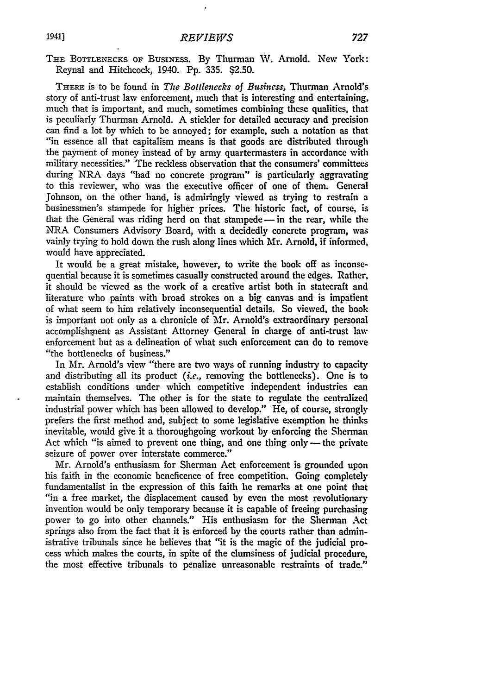THE **BOTTLENECKS** OF BusiNEss. By Thurman W. Arnold. New York: Reynal and Hitchcock, 1940. Pp. 335. \$2.50.

THERE is to be found in *The Bottlenecks of Business,* Thurman Arnold's story of anti-trust law enforcement, much that is interesting and entertaining, much that is important, and much, sometimes combining these qualities, that is peculiarly Thurman Arnold. A stickler for detailed accuracy and precision can find a lot by which to be annoyed; for example, such a notation as that "in essence all that capitalism means is that goods are distributed through the payment of money instead of by army quartermasters in accordance with military necessities." The reckless observation that the consumers' committees during NRA days "had no concrete program" is particularly aggravating to this reviewer, who was the executive officer of one of them. General Johnson, on the other hand, is admiringly viewed as trying to restrain a businessmen's stampede for higher prices. The historic fact, of course, is that the General was riding herd on that stampede **-in** the rear, while the NRA Consumers Advisory Board, with a decidedly concrete program, was vainly trying to hold down the rush along lines which Mr. Arnold, if informed, would have appreciated.

It would be a great mistake, however, to write the book off as inconsequential because it is sometimes casually constructed around the edges. Rather, it should be viewed as the work of a creative artist both in statecraft and literature who paints with broad strokes on a big canvas and is impatient of what seem to him relatively inconsequential details. So viewed, the book is important not only as a chronicle of Mr. Arnold's extraordinary personal accomplislpent as Assistant Attorney General in charge of anti-trust law enforcement but as a delineation of what such enforcement can do to remove "the bottlenecks of business."

In Mr. Arnold's view "there are two ways of running industry to capacity and distributing all its product  $(i.e.,$  removing the bottlenecks). One is to establish conditions under which competitive independent industries can maintain themselves. The other is for the state to regulate the centralized industrial power which has been allowed to develop." He, of course, strongly prefers the first method and, subject to some legislative exemption he thinks inevitable, would give it a thoroughgoing workout by enforcing the Sherman Act which "is aimed to prevent one thing, and one thing only -- the private seizure of power over interstate commerce."

Mr. Arnold's enthusiasm for Sherman Act enforcement is grounded upon his faith in the economic beneficence of free competition. Going completely fundamentalist in the expression of this faith he remarks at one point that "in a free market, the displacement caused **by** even the most revolutionary invention would be only temporary because it is capable of freeing purchasing power to go into other channels." His enthusiasm for the Sherman Act springs also from the fact that it is enforced **by** the courts rather than administrative tribunals since he believes that "it is the magic of the judicial process which makes the courts, in spite of the clumsiness of judicial procedure, the most effective tribunals to penalize unreasonable restraints of trade."

727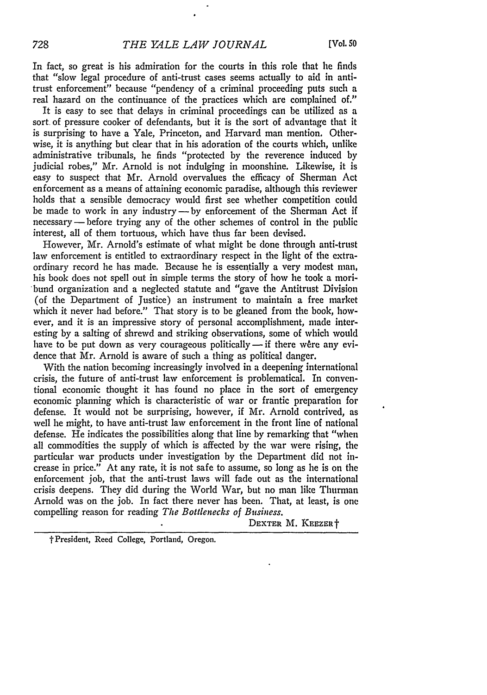In fact, so great is his admiration for the courts in this role that he finds that "slow legal procedure of anti-trust cases seems actually to aid in antitrust enforcement" because "pendency of a criminal proceeding puts such a real hazard on the continuance of the practices which are complained of."

It is easy to see that delays in criminal proceedings can be utilized as a sort. of pressure cooker of defendants, but it is the sort of advantage that it is surprising to have a Yale, Princeton, and Harvard man mention. Otherwise, it is anything but clear that in his adoration of the courts which, unlike administrative tribunals, he finds "protected by the reverence induced by judicial robes," Mr. Arnold is not indulging in moonshine. Likewise, it is easy to suspect that Mr. Arnold overvalues the efficacy of Sherman Act enforcement as a means of attaining economic paradise, although this reviewer holds that a sensible democracy would first see whether competition could be made to work in any industry- by enforcement of the Sherman Act if necessary — before trying any of the other schemes of control in the public interest, all of them tortuous, which have thus far been devised.

However, Mr. Arnold's estimate of what might be done through anti-trust law enforcement is entitled to extraordinary respect in the light of the extraordinary record he has made. Because he is essentially a very modest man, his book does not spell out in simple terms the story of how he took a moribund organization and a neglected statute and "gave the Antitrust Division (of the Department of Justice) an instrument to maintain a free market which it never had before." That story is to be gleaned from the book, however, and it is an impressive story of personal accomplishment, made interesting by a salting of shrewd and striking observations, some of which would have to be put down as very courageous politically — if there were any evidence that Mr. Arnold is aware of such a thing as political danger.

With the nation becoming increasingly involved in a deepening international crisis, the future of anti-trust law enforcement is problematical. In conventional economic thought it has found no place in the sort of emergency economic planning which is characteristic of war or frantic preparation for defense. It would not be surprising, however, if Mr. Arnold contrived, as well he might, to have anti-trust law enforcement in the front line of national defense. He indicates the possibilities along that line by remarking that "when all commodities the supply of which is affected by the war were rising, the particular war products under investigation by the Department did not increase in price." At any rate, it is not safe to assume, so long as he is on the enforcement job, that the anti-trust laws will fade out as the international crisis deepens. They did during the World War, but no man like Thurman Arnold was on the job. In fact there never has been. That, at least, is one compelling reason for reading *The Bottlenecks of Business.*

**DEXTER** M. KEEZER <sup>t</sup>

f President, Reed College, Portland, Oregon.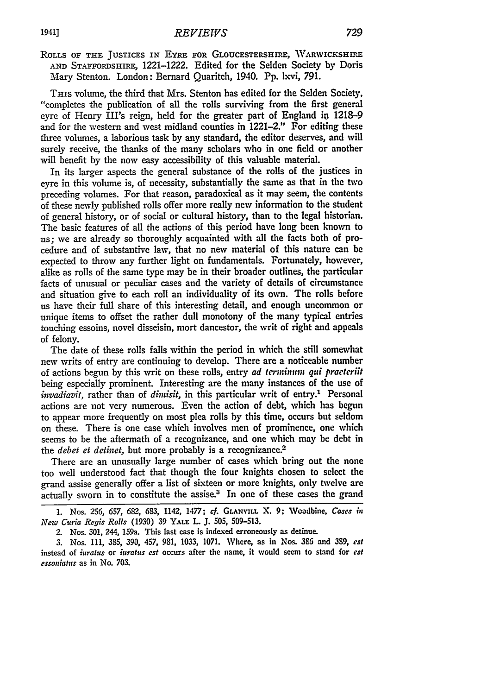**ROLLS OF TEE JUSTICES IN EYRE FOR GLOUCESTERSHIRE, WARWICKSHInE AND** STAFFORDSHIRE, 1221-1222. Edited for the Selden Society by Doris Mary Stenton. London: Bernard Quaritch, 1940. Pp. lxvi, 791.

THIS volume, the third that Mrs. Stenton has edited for the Selden Society, "completes the publication of all the rolls surviving from the first general eyre of Henry III's reign, held for the greater part of England in 1218-9 and for the western and west midland counties in 1221-2." For editing these three volumes, a laborious task by any standard, the editor deserves, and will surely receive, the thanks of the many scholars who in one field or another will benefit by the now easy accessibility of this valuable material.

In its larger aspects the general substance of the rolls of the justices in eyre in this volume is, of necessity, substantially the same as that in the two preceding volumes. For that reason, paradoxical as it may seem, the contents of these newly published rolls offer more really new information to the student of general history, or of social or cultural history, than to the legal historian. The basic features of all the actions of this period have long been known to us; we are already so thoroughly acquainted with all the facts both of procedure and of substantive law, that no new material of this nature can be expected to throw any further light on fundamentals. Fortunately, however, alike as rolls of the same type may be in their broader outlines, the particular facts of unusual or peculiar cases and the variety of details of circumstance and situation give to each roll an individuality of its own. The rolls before us have their full share of this interesting detail, and enough uncommon or unique items to offset the rather dull monotony of the many typical entries touching essoins, novel disseisin, mort dancestor, the writ of right and appeals of felony.

The date of these rolls falls within the period in which the still somewhat new writs of entry are continuing to develop. There are a noticeable number of actions begun by this writ on these rolls, entry *ad termnum qui pracerlit* being especially prominent. Interesting are the many instances of the use of *invadiavit,* rather than of *dimisit,* in this particular writ of entry.' Personal actions are not very numerous. Even the action of debt, which has begun to appear more frequently on most plea rolls by this time, occurs but seldom on these. There is one case which involves men of prominence, one which seems to be the aftermath of a recognizance, and one which may be debt in the *debet et detinet*, but more probably is a recognizance.<sup>2</sup>

There are an unusually large number of cases which bring out the none too well understood fact that though the four knights chosen to select the grand assise generally offer a list of sixteen or more knights, only twelve are actually sworn in to constitute the assise.<sup>3</sup> In one of these cases the grand

**<sup>1.</sup>** Nos. **256,** 657, *682,* **683, 1142,** 1477; *cf.* GLANVs.L X. **9;** Woodbine, *Cases i, New Curia Regis Rolls* (1930) 39 **YALE** L. J. **505,** 509-513.

<sup>2.</sup> Nos. 301, 244, 159a. This last case is indexed erroneously as detinue.

<sup>3.</sup> Nos. 111, 385, 390, 457, **981,** 1033, 1071. Where, as in Nos. **386** and 389, *est* instead of *iuratus* or *iuratis est* occurs after the name, it would seem to stand for *est essoniatus* as in No. 703.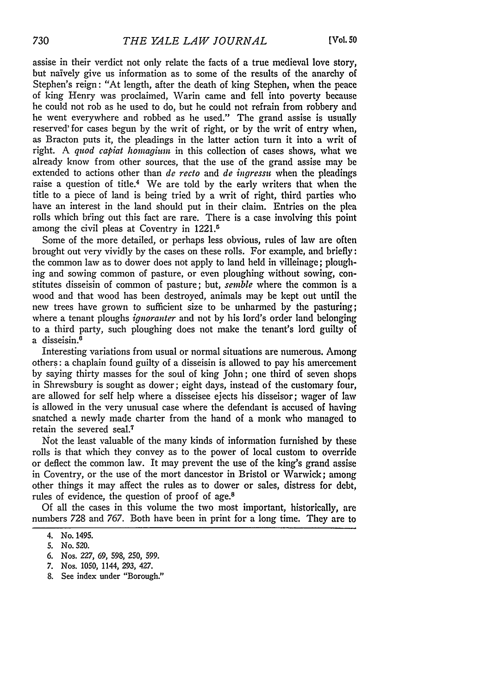assise in their verdict not only relate the facts of a true medieval love story, but naively give us information as to some of the results of the anarchy of Stephen's reign: "At length, after the death of king Stephen, when the peace of king Henry was proclaimed, Warin came and fell into poverty because he could not rob as he used to do, but he could not refrain from robbery and he went everywhere and robbed as he used." The grand assise is usually reserved' for cases begun by the writ of right, or by the writ of entry when, as Bracton puts it, the pleadings in the latter action turn it into a writ of right. **A** *quod capiat homaghm* in this collection of cases shows, what we already know from other sources, that the use of the grand assise may be extended to actions other than *de recto* and *de ingressu* when the pleadings raise a question of title.<sup>4</sup> We are told by the early writers that when the title to a piece of land is being tried by a writ of right, third parties who have an interest in the land should put in their claim. Entries on the plea rolls which bring out this fact are rare. There is a case involving this point among the civil pleas at Coventry in 1221.<sup>5</sup>

Some of the more detailed, or perhaps less obvious, rules of law are often brought out very vividly by the cases on these rolls. For example, and briefly: the common law as to dower does not apply to land held in villeinage; ploughing and sowing common of pasture, or even ploughing without sowing, constitutes disseisin of common of pasture; but, *semble* where the common is a wood and that wood has been destroyed, animals may be kept out until the new trees have grown to sufficient size to be unharmed by the pasturing; where a tenant ploughs *ignoranter* and not by his lord's order land belonging to a third party, such ploughing does not make the tenant's lord guilty of a disseisin.8

Interesting variations from usual or normal situations are numerous. Among others: a chaplain found guilty of a disseisin is allowed to pay his amercement by saying thirty masses for the soul of king John; one third of seven shops in Shrewsbury is sought as dower; eight days, instead of the customary four, are allowed for self help where a disseisee ejects his disseisor; wager of law is allowed in the very unusual case where the defendant is accused of having snatched a newly made charter from the hand of a monk who managed to retain the severed seal.7

Not the least valuable of the many kinds of information furnished by these rolls is that which they convey as to the power of local custom to override or deflect the common law. It may prevent the use of the king's grand assise in Coventry, or the use of the mort dancestor in Bristol or Warwick; among other things it may affect the rules as to dower or sales, distress for debt, rules of evidence, the question of proof of age.<sup>8</sup>

**Of** all the cases in this volume the two most important, historically, are numbers 728 and 767. Both have been in print for a long time. They are to

**6.** Nos. *227,* **69,** 598, 250, 599.

8. See index under "Borough."

<sup>4.</sup> No. 1495.

<sup>5.</sup> No. 520.

<sup>7.</sup> Nos. **1050,** 1144, 293, 427.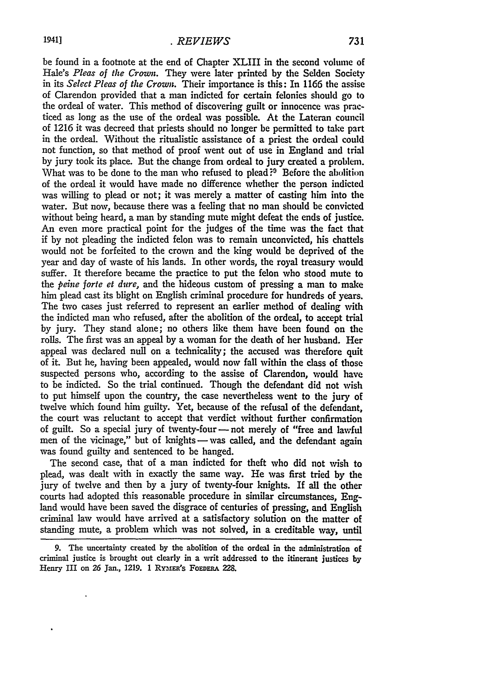be found in a footnote at the end of Chapter XLIII in the second volume of Hale's *Pleas of the Crozen.* They were later printed **by** the Selden Society in its *Select Pleas of the Crown.* Their importance is this: In 1166 the assise of Clarendon provided that a man indicted for certain felonies should **go** to the ordeal of water. This method of discovering guilt or innocence was practiced as long as the use of the ordeal was possible. At the Lateran council of 1216 it was decreed that priests should no longer be permitted to take part in the ordeal. Without the ritualistic assistance of a priest the ordeal could not function, so that method of proof went out of use in England and trial **by** jury took its place. But the change from ordeal to jury created a problem. What was to be done to the man who refused to plead **?** Before the abolition of the ordeal it would have made no difference whether the person indicted was willing to plead or not; it was merely a matter of casting him into the water. But now, because there was a feeling that no man should be convicted without being heard, a man **by** standing mute might defeat the ends of justice. An even more practical point for the judges of the time was the fact that if **by** not pleading the indicted felon was to remain unconvicted, his chattels would not be forfeited to the crown and the king would be deprived of the year and day of waste of his lands. In other words, the royal treasury would suffer. It therefore became the practice to put the felon who stood mute to the *peine forte et dure,* and the hideous custom of pressing a man to make him plead cast its blight on English criminal procedure for hundreds of years. The two cases just referred to represent an earlier method of dealing with the indicted man who refused, after the abolition of the ordeal, to accept trial **by** jury. They stand alone; no others like them have been found on the rolls. The first was an appeal **by** a woman for the death of her husband. Her appeal was declared null on a technicality; the accused was therefore quit of it. But he, having been appealed, would now fall within the class of those suspected persons who, according to the assise of Clarendon, would have to be indicted. So the trial continued. Though the defendant did not wish to put himself upon the country, the case nevertheless went to the jury of twelve which found him guilty. Yet, because of the refusal of the defendant, the court was reluctant to accept that verdict without further confirmation of guilt. So a special jury of twenty-four - not merely of "free and lawful men of the vicinage," but of knights - was called, and the defendant again was found guilty and sentenced to be hanged.

The second case, that of a man indicted for theft who did not wish to plead, was dealt with in exactly the same way. He was first tried **by** the jury of twelve and then **by** a jury of twenty-four knights. If all the other courts had adopted this reasonable procedure in similar circumstances, England would have been saved the disgrace of centuries of pressing, and English criminal law would have arrived at a satisfactory solution on the matter of standing mute, a problem which was not solved, in a creditable way, until

**9.** The uncertainty created **by** the abolition of the ordeal in the administration of criminal justice is brought out clearly in a writ addressed to the itinerant justices **by** Henry III on 26 Jan., 1219. 1 RYMER'S FOEDERA 228.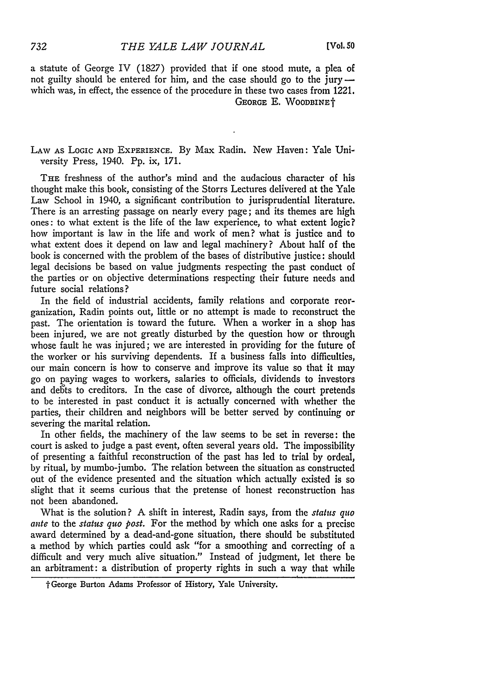a statute of George IV (1827) provided that if one stood mute, a plea of not guilty should be entered for him, and the case should go to the jury  which was, in effect, the essence of the procedure in these two cases from 1221. GEORGE *E.* WOODBINEt

LAW As LOGIC **AND** EXPERIENCE. By Max Radin. New Haven: Yale University Press, 1940. Pp. ix, 171.

THE freshness of the author's mind and the audacious character of his thought make this book, consisting of the Storrs Lectures delivered at the Yale Law School in 1940, a significant contribution to jurisprudential literature. There is an arresting passage on nearly every page; and its themes are high ones: to what extent is the life of the law experience, to what extent logic? how important is law in the life and work of men? what is justice and to what extent does it depend on law and legal machinery? About half of the book is concerned with the problem of the bases of distributive justice: should legal decisions be based on value judgments respecting the past conduct of the parties or on objective determinations respecting their future needs and future social relations?

In the field of industrial accidents, family relations and corporate reorganization, Radin points out, little or no attempt is made to reconstruct the past. The orientation is toward the future. When a worker in a shop has been injured, we are not greatly disturbed by the question how or through whose fault he was injured; we are interested in providing for the future of the worker or his surviving dependents. If a business falls into difficulties, our main concern is how to conserve and improve its value so that it may go on paying wages to workers, salaries to officials, dividends to investors and debts to creditors. In the case of divorce, although the court pretends to be interested in past conduct it is actually concerned with whether the parties, their children and neighbors will be better served by continuing or severing the marital relation.

In other fields, the machinery of the law seems to be set in reverse: the court is asked to judge a past event, often several years old. The impossibility of presenting a faithful reconstruction of the past has led to trial by ordeal, by ritual, by mumbo-jumbo. The relation between the situation as constructed out of the evidence presented and the situation which actually existed is so slight that it seems curious that the pretense of honest reconstruction has not been abandoned.

What is the solution? A shift in interest, Radin says, from the *status quo ante* to the *status quo post.* For the method by which one asks for a precise award determined by a dead-and-gone situation, there should be substituted a method by which parties could ask "for a smoothing and correcting of a difficult and very much alive situation." Instead of judgment, let there be an arbitrament: a distribution of property rights in such a way that while

t George Burton Adams Professor of History, Yale University.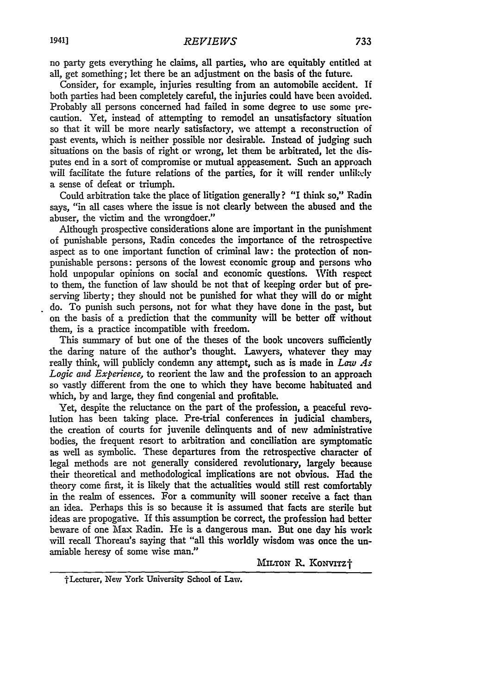no party gets everything he claims, all parties, who are equitably entitled at all, get something; let there be an adjustment on the basis of the future.

Consider, for example, injuries resulting from an automobile accident. If both parties had been completely careful, the injuries could have been avoided. Probably all persons concerned had failed in some degree to use some precaution. Yet, instead of attempting to remodel an unsatisfactory situation so that it will be more nearly satisfactory, we attempt a reconstruction of past events, which is neither possible nor desirable. Instead of judging such situations on the basis of right or wrong, let them be arbitrated, let the disputes end in a sort of compromise or mutual appeasement. Such an approach will facilitate the future relations of the parties, for it will render unlikely a sense of defeat or triumph.

Could arbitration take the place of litigation generally? "I think so," Radin says, "in all cases where the issue is not clearly between the abused and the abuser, the victim and the wrongdoer."

Although prospective considerations alone are important in the punishment of punishable persons, Radin concedes the importance of the retrospective aspect as to one important function of criminal law: the protection of nonpunishable persons: persons of the lowest economic group and persons who hold unpopular opinions on social and economic questions. With respect to them, the function of law should be not that of keeping order but of preserving liberty; they should not be punished for what they will do or might do. To punish such persons, not for what they have done in the past, but on the basis of a prediction that the community will be better off without them, is a practice incompatible with freedom.

This summary of but one of the theses of the book uncovers sufficiently the daring nature of the author's thought. Lawyers, whatever they may really think, will publicly condemn any attempt, such as is made in *Lau As Logic and Experience,* to reorient the law and the profession to an approach so vastly different from the one to which they have become habituated and which, **by** and large, they find congenial and profitable.

Yet, despite the reluctance on the part of the profession, a peaceful revolution has been taking place. Pre-trial conferences in judicial chambers, the creation of courts for juvenile delinquents and of new administrative bodies, the frequent resort to arbitration and conciliation are symptomatic as well as symbolic. These departures from the retrospective character of legal methods are not generally considered revolutionary, largely because their theoretical and methodological implications are not obvious. Had the theory come first, it is likely that the actualities would still rest comfortably in the realm of essences. For a community will sooner receive a fact than an idea. Perhaps this is so because it is assumed that facts are sterile but ideas are propogative. If this assumption be correct, the profession had better beware of one Max Radin. He is a dangerous man. But one day his work will recall Thoreau's saying that "all this worldly wisdom was once the unamiable heresy of some wise man."

MILTON R. KONVITZ<sup>†</sup>

iLecturer, New York University School of Law.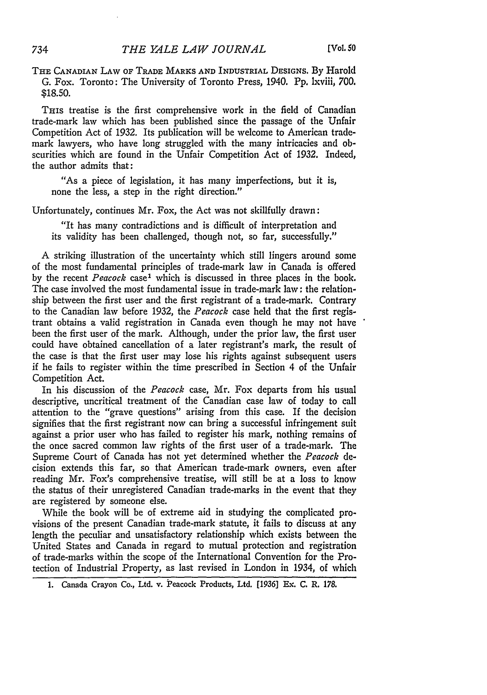THE **CANADIAN** LAw OF TRADE MARKS **AND** INDUSTRIAL DESIGNS. By Harold G. Fox. Toronto: The University of Toronto Press, 1940. Pp. lxviii, 700. \$18.50.

THIS treatise is the first comprehensive work in the field of Canadian trade-mark law which has been published since the passage of the Unfair Competition Act of 1932. Its publication will be welcome to American trademark lawyers, who have long struggled with the many intricacies and obscurities which are found in the Unfair Competition Act of 1932. Indeed, the author admits that:

"As a piece of legislation, it has many imperfections, but it is, none the less, a step in the right direction."

Unfortunately, continues Mr. Fox, the Act was not skillfully drawn:

"It has many contradictions and is difficult of interpretation and its validity has been challenged, though not, so far, successfully."

A striking illustration of the uncertainty which still lingers around some of the most fundamental principles of trade-mark law in Canada is offered by the recent *Peacock* case<sup>1</sup> which is discussed in three places in the book. The case involved the most fundamental issue in trade-mark law: the relationship between the first user and the first registrant of a trade-mark. Contrary to the Canadian law before 1932, the *Peacock* case held that the first registrant obtains a valid registration in Canada even though he may not have been the first user of the mark. Although, under the prior law, the first user could have obtained cancellation of a later registrant's mark, the result of the case is that the first user may lose his rights against subsequent users if he fails to register within the time prescribed in Section 4 of the Unfair Competition Act.

In his discussion of the *Peacock* case, Mr. Fox departs from his usual descriptive, uncritical treatment of the Canadian case law of today to call attention to the "grave questions" arising from this case. If the decision signifies that the first registrant now can bring a successful infringement suit against a prior user who has failed to register his mark, nothing remains of the once sacred common law rights of the first user of a trade-mark. The Supreme Court of Canada has not yet determined whether the *Peacock de*cision extends this far, so that American trade-mark owners, even after reading Mr. Fox's comprehensive treatise, will still be at a loss to know the status of their unregistered Canadian trade-marks in the event that they are registered by someone else.

While the book will be of extreme aid in studying the complicated provisions of the present Canadian trade-mark statute, it fails to discuss at any length the peculiar and unsatisfactory relationship which exists between the United States and Canada in regard to mutual protection and registration of trade-marks within the scope of the International Convention for the Protection of Industrial Property, as last revised in London in 1934, of which

734

<sup>1.</sup> Canada Crayon Co., Ltd. v. Peacock Products, Ltd. [1936] Ex. C. R. 178.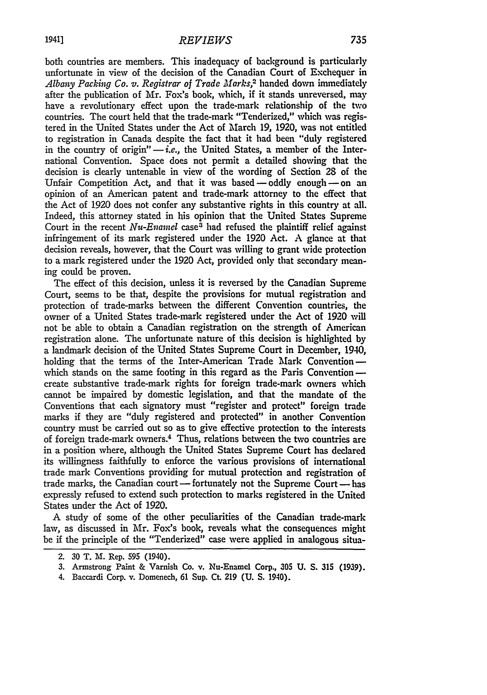both countries are members. This inadequacy of background is particularly unfortunate in view of the decision of the Canadian Court of Exchequer in *Albany Packing Co. v. Registrar of Trade Marks,2* handed down immediately after the publication of Mr. Fox's book, which, if it stands unreversed, may have a revolutionary effect upon the trade-mark relationship of the two countries. The court held that the trade-mark "Tenderized," which was registered in the United States under the Act of March **19,** 1920, was not entitled to registration in Canada despite the fact that it had been "duly registered in the country of origin" $-i.e.,$  the United States, a member of the International Convention. Space does not permit a detailed showing that the decision is dearly untenable in view of the wording of Section 28 of the Unfair Competition Act, and that it was based **- oddly** enough **-** on an opinion of an American patent and trade-mark attorney to the effect that the Act of 1920 does not confer any substantive rights in this country at all. Indeed, this attorney stated in his opinion that the United States Supreme Court in the recent  $Nu$ -Enamel case<sup>3</sup> had refused the plaintiff relief against infringement of its mark registered under the 1920 Act. A glance at that decision reveals, however, that the Court was willing to grant wide protection to a mark registered under the 1920 Act, provided only that secondary meaning could be proven.

The effect of this decision, unless it is reversed by the Canadian Supreme Court, seems to be that, despite the provisions for mutual registration and protection of trade-marks between the different Convention countries, the owner of a United States trade-mark registered under the Act of **1920** will not be able to obtain a Canadian registration on the strength of American registration alone. The unfortunate nature of this decision is highlighted **by** a landmark decision of the United States Supreme Court in December, 1940, holding that the terms of the Inter-American Trade Mark Convention  which stands on the same footing in this regard as the Paris Convention $$ create substantive trade-mark rights for foreign trade-mark owners which cannot be impaired by domestic legislation, and that the mandate of the Conventions that each signatory must "register and protect" foreign trade marks if they are "duly registered and protected" in another Convention country must be carried out so as to give effective protection to the interests of foreign trade-mark owners.<sup>4</sup> Thus, relations between the two countries are in a position where, although the United States Supreme Court has declared its willingness faithfully to enforce the various provisions of international trade mark Conventions providing for mutual protection and registration of trade marks, the Canadian court — fortunately not the Supreme Court — has expressly refused to extend such protection to marks registered in the United States under the Act of 1920.

**A** study of some of the other peculiarities of the Canadian trade-mark law, as discussed in Mr. Fox's book, reveals what the consequences might be if the principle of the "Tenderized" case were applied in analogous situa-

<sup>2. 30</sup> T. M. Rep. **595** (1940).

**<sup>3.</sup>** Armstrong Paint & Varnish Co. v. Nu-Enamel Corp., **305 U.** S. 315 **(1939).**

<sup>4.</sup> Baccardi Corp. v. Domenech, 61 Sup. **Ct.** 219 (U. S. 1940).